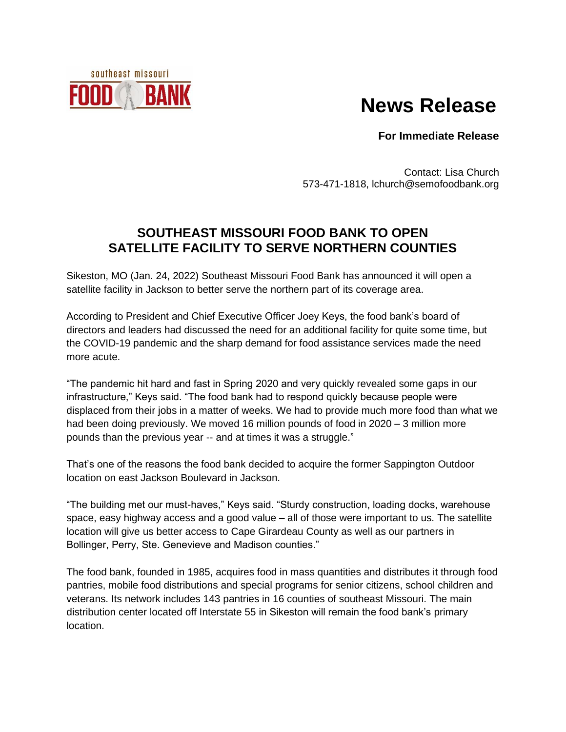## **News Release**

**For Immediate Release**

Contact: Lisa Church 573-471-1818, lchurch@semofoodbank.org

## **SOUTHEAST MISSOURI FOOD BANK TO OPEN SATELLITE FACILITY TO SERVE NORTHERN COUNTIES**

Sikeston, MO (Jan. 24, 2022) Southeast Missouri Food Bank has announced it will open a satellite facility in Jackson to better serve the northern part of its coverage area.

southeast missouri

**BAN** 

According to President and Chief Executive Officer Joey Keys, the food bank's board of directors and leaders had discussed the need for an additional facility for quite some time, but the COVID-19 pandemic and the sharp demand for food assistance services made the need more acute.

"The pandemic hit hard and fast in Spring 2020 and very quickly revealed some gaps in our infrastructure," Keys said. "The food bank had to respond quickly because people were displaced from their jobs in a matter of weeks. We had to provide much more food than what we had been doing previously. We moved 16 million pounds of food in 2020 – 3 million more pounds than the previous year -- and at times it was a struggle."

That's one of the reasons the food bank decided to acquire the former Sappington Outdoor location on east Jackson Boulevard in Jackson.

"The building met our must-haves," Keys said. "Sturdy construction, loading docks, warehouse space, easy highway access and a good value – all of those were important to us. The satellite location will give us better access to Cape Girardeau County as well as our partners in Bollinger, Perry, Ste. Genevieve and Madison counties."

The food bank, founded in 1985, acquires food in mass quantities and distributes it through food pantries, mobile food distributions and special programs for senior citizens, school children and veterans. Its network includes 143 pantries in 16 counties of southeast Missouri. The main distribution center located off Interstate 55 in Sikeston will remain the food bank's primary location.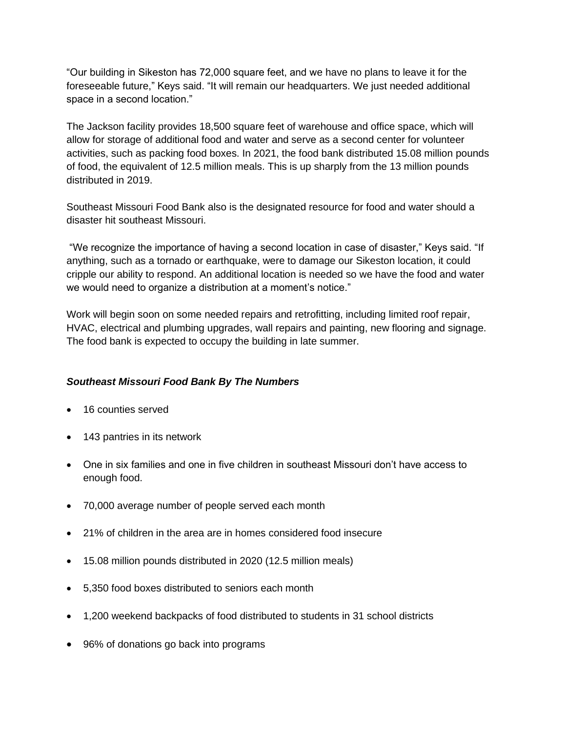"Our building in Sikeston has 72,000 square feet, and we have no plans to leave it for the foreseeable future," Keys said. "It will remain our headquarters. We just needed additional space in a second location."

The Jackson facility provides 18,500 square feet of warehouse and office space, which will allow for storage of additional food and water and serve as a second center for volunteer activities, such as packing food boxes. In 2021, the food bank distributed 15.08 million pounds of food, the equivalent of 12.5 million meals. This is up sharply from the 13 million pounds distributed in 2019.

Southeast Missouri Food Bank also is the designated resource for food and water should a disaster hit southeast Missouri.

"We recognize the importance of having a second location in case of disaster," Keys said. "If anything, such as a tornado or earthquake, were to damage our Sikeston location, it could cripple our ability to respond. An additional location is needed so we have the food and water we would need to organize a distribution at a moment's notice."

Work will begin soon on some needed repairs and retrofitting, including limited roof repair, HVAC, electrical and plumbing upgrades, wall repairs and painting, new flooring and signage. The food bank is expected to occupy the building in late summer.

## *Southeast Missouri Food Bank By The Numbers*

- 16 counties served
- 143 pantries in its network
- One in six families and one in five children in southeast Missouri don't have access to enough food.
- 70,000 average number of people served each month
- 21% of children in the area are in homes considered food insecure
- 15.08 million pounds distributed in 2020 (12.5 million meals)
- 5,350 food boxes distributed to seniors each month
- 1,200 weekend backpacks of food distributed to students in 31 school districts
- 96% of donations go back into programs